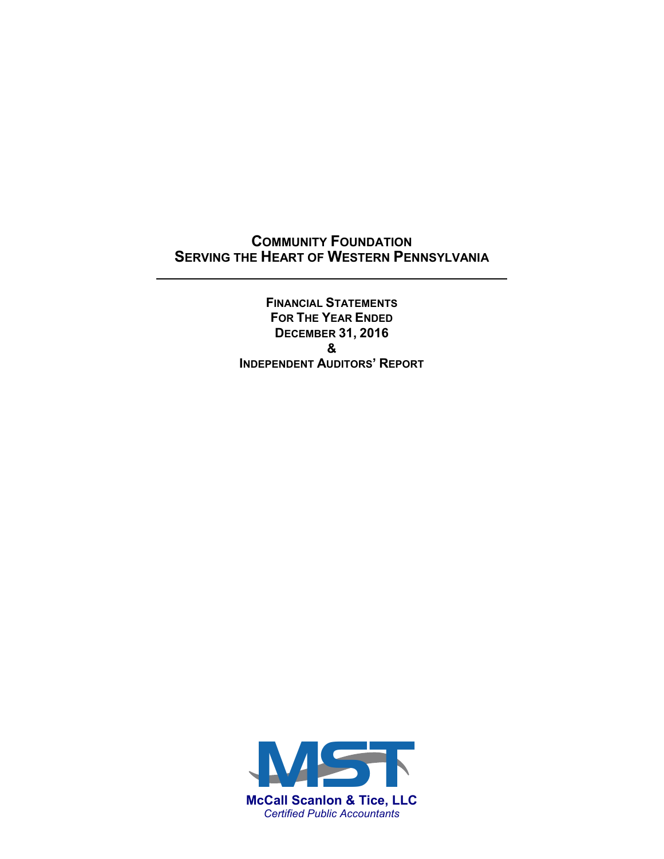## **COMMUNITY FOUNDATION SERVING THE HEART OF WESTERN PENNSYLVANIA**

 $\overline{a}$ 

**FINANCIAL STATEMENTS FOR THE YEAR ENDED DECEMBER 31, 2016 & INDEPENDENT AUDITORS' REPORT**

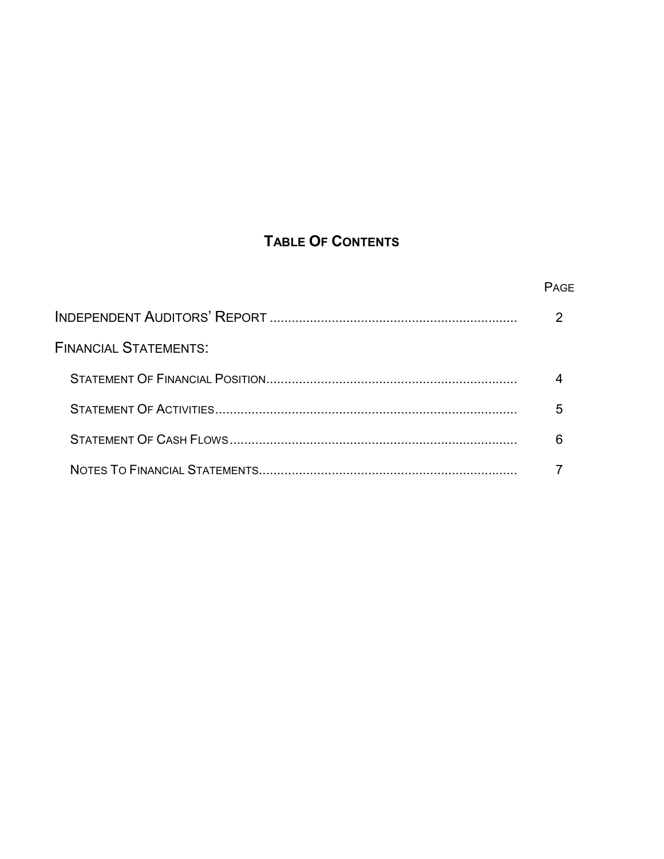# **TABLE OF CONTENTS**

|                              | <b>PAGE</b> |
|------------------------------|-------------|
|                              |             |
| <b>FINANCIAL STATEMENTS:</b> |             |
|                              |             |
|                              |             |
|                              |             |
|                              |             |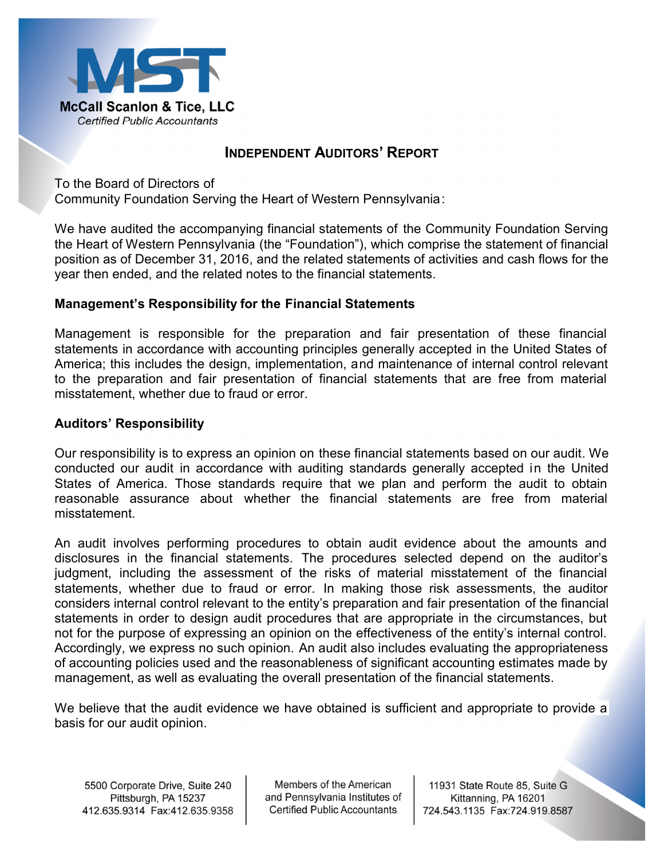

### **INDEPENDENT AUDITORS' REPORT**

To the Board of Directors of Community Foundation Serving the Heart of Western Pennsylvania:

We have audited the accompanying financial statements of the Community Foundation Serving the Heart of Western Pennsylvania (the "Foundation"), which comprise the statement of financial position as of December 31, 2016, and the related statements of activities and cash flows for the year then ended, and the related notes to the financial statements.

### **Management's Responsibility for the Financial Statements**

Management is responsible for the preparation and fair presentation of these financial statements in accordance with accounting principles generally accepted in the United States of America; this includes the design, implementation, and maintenance of internal control relevant to the preparation and fair presentation of financial statements that are free from material misstatement, whether due to fraud or error.

### **Auditors' Responsibility**

Our responsibility is to express an opinion on these financial statements based on our audit. We conducted our audit in accordance with auditing standards generally accepted in the United States of America. Those standards require that we plan and perform the audit to obtain reasonable assurance about whether the financial statements are free from material misstatement.

An audit involves performing procedures to obtain audit evidence about the amounts and disclosures in the financial statements. The procedures selected depend on the auditor's judgment, including the assessment of the risks of material misstatement of the financial statements, whether due to fraud or error. In making those risk assessments, the auditor considers internal control relevant to the entity's preparation and fair presentation of the financial statements in order to design audit procedures that are appropriate in the circumstances, but not for the purpose of expressing an opinion on the effectiveness of the entity's internal control. Accordingly, we express no such opinion. An audit also includes evaluating the appropriateness of accounting policies used and the reasonableness of significant accounting estimates made by management, as well as evaluating the overall presentation of the financial statements.

We believe that the audit evidence we have obtained is sufficient and appropriate to provide a basis for our audit opinion.

Members of the American and Pennsylvania Institutes of **Certified Public Accountants** 

11931 State Route 85, Suite G Kittanning, PA 16201 724.543.1135 Fax:724.919.8587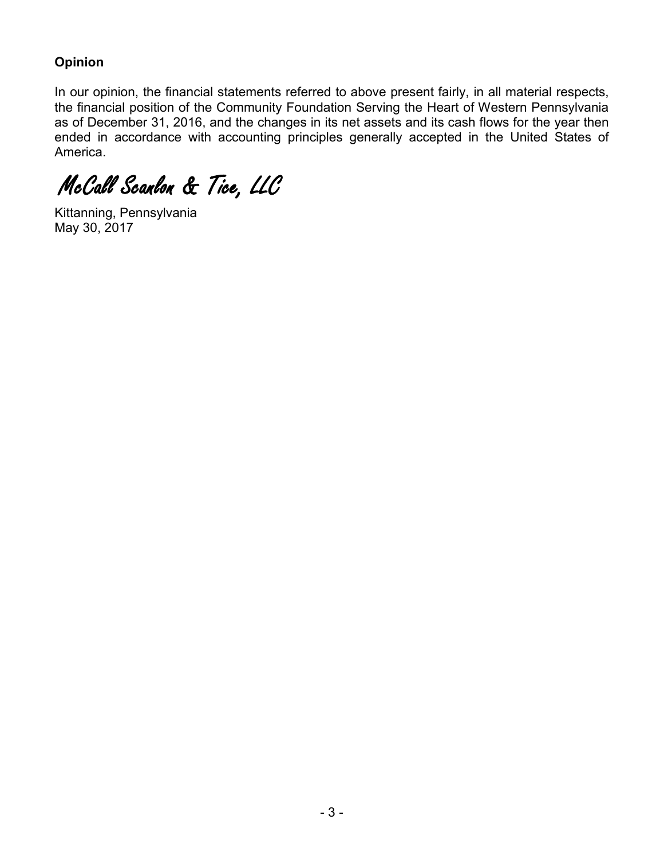## **Opinion**

In our opinion, the financial statements referred to above present fairly, in all material respects, the financial position of the Community Foundation Serving the Heart of Western Pennsylvania as of December 31, 2016, and the changes in its net assets and its cash flows for the year then ended in accordance with accounting principles generally accepted in the United States of America.

McCall Scanlon & Tice, LLC

Kittanning, Pennsylvania May 30, 2017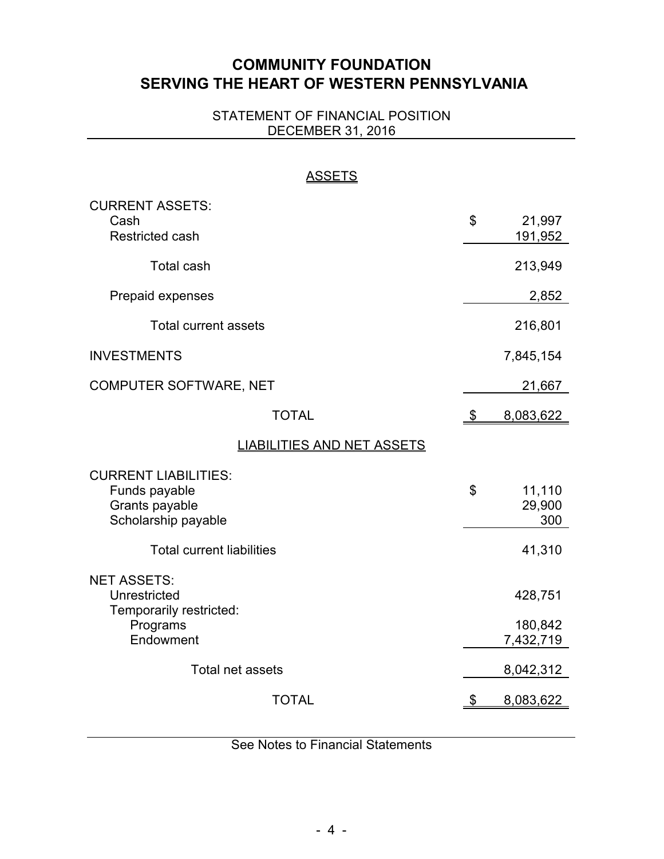# **COMMUNITY FOUNDATION SERVING THE HEART OF WESTERN PENNSYLVANIA**

### STATEMENT OF FINANCIAL POSITION DECEMBER 31, 2016

| <b>ASSETS</b>                                                                          |               |                                 |
|----------------------------------------------------------------------------------------|---------------|---------------------------------|
| <b>CURRENT ASSETS:</b><br>Cash<br><b>Restricted cash</b>                               | \$            | 21,997<br>191,952               |
| <b>Total cash</b>                                                                      |               | 213,949                         |
| Prepaid expenses                                                                       |               | 2,852                           |
| <b>Total current assets</b>                                                            |               | 216,801                         |
| <b>INVESTMENTS</b>                                                                     |               | 7,845,154                       |
| COMPUTER SOFTWARE, NET                                                                 |               | 21,667                          |
| <b>TOTAL</b>                                                                           | $\frac{1}{2}$ | 8,083,622                       |
| <b>LIABILITIES AND NET ASSETS</b>                                                      |               |                                 |
| <b>CURRENT LIABILITIES:</b><br>Funds payable<br>Grants payable<br>Scholarship payable  | \$            | 11,110<br>29,900<br>300         |
| <b>Total current liabilities</b>                                                       |               | 41,310                          |
| <b>NET ASSETS:</b><br>Unrestricted<br>Temporarily restricted:<br>Programs<br>Endowment |               | 428,751<br>180,842<br>7,432,719 |
| Total net assets                                                                       |               | 8,042,312                       |
| <b>TOTAL</b>                                                                           | \$            | 8,083,622                       |

See Notes to Financial Statements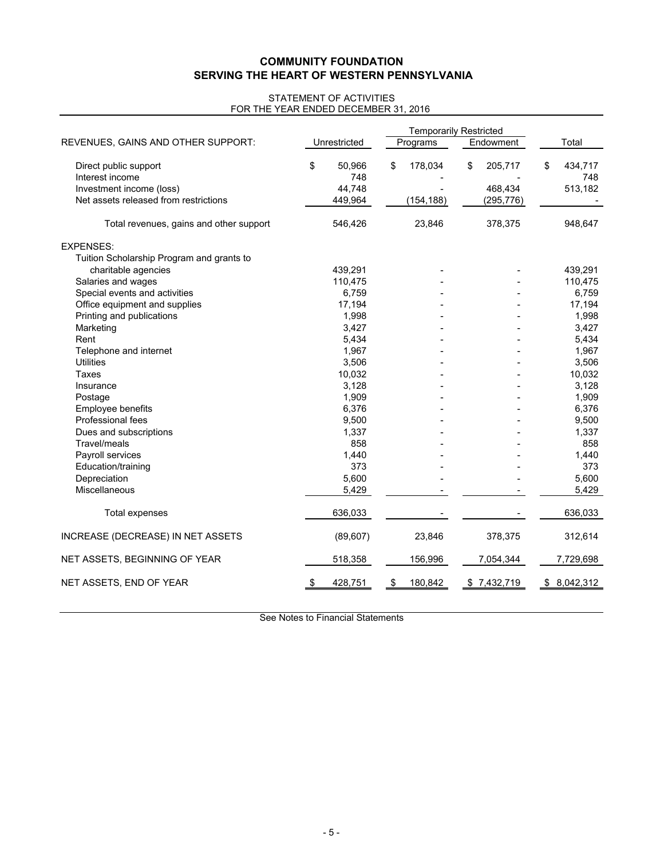#### **COMMUNITY FOUNDATION SERVING THE HEART OF WESTERN PENNSYLVANIA**

#### FOR THE YEAR ENDED DECEMBER 31, 2016 STATEMENT OF ACTIVITIES

|                                                                   |               |                   | <b>Temporarily Restricted</b> |                       |                      |
|-------------------------------------------------------------------|---------------|-------------------|-------------------------------|-----------------------|----------------------|
| REVENUES, GAINS AND OTHER SUPPORT:                                |               | Unrestricted      | Programs                      | Endowment             | Total                |
| Direct public support<br>Interest income                          | \$            | 50,966<br>748     | \$<br>178,034                 | \$<br>205,717         | \$<br>434,717<br>748 |
| Investment income (loss)<br>Net assets released from restrictions |               | 44.748<br>449,964 | (154, 188)                    | 468,434<br>(295, 776) | 513,182              |
| Total revenues, gains and other support                           |               | 546,426           | 23,846                        | 378,375               | 948,647              |
| <b>EXPENSES:</b>                                                  |               |                   |                               |                       |                      |
| Tuition Scholarship Program and grants to                         |               |                   |                               |                       |                      |
| charitable agencies                                               |               | 439,291           |                               |                       | 439,291              |
| Salaries and wages                                                |               | 110,475           |                               |                       | 110,475              |
| Special events and activities                                     |               | 6.759             |                               |                       | 6,759                |
| Office equipment and supplies                                     |               | 17,194            |                               |                       | 17,194               |
| Printing and publications                                         |               | 1,998             |                               |                       | 1,998                |
| Marketing                                                         |               | 3,427             |                               |                       | 3,427                |
| Rent                                                              |               | 5,434             |                               |                       | 5,434                |
| Telephone and internet                                            |               | 1,967             |                               |                       | 1,967                |
| <b>Utilities</b>                                                  |               | 3,506             |                               |                       | 3,506                |
| Taxes                                                             |               | 10,032            |                               |                       | 10,032               |
| Insurance                                                         |               | 3,128             |                               |                       | 3,128                |
| Postage                                                           |               | 1,909             |                               |                       | 1,909                |
| Employee benefits                                                 |               | 6,376             |                               |                       | 6,376                |
| Professional fees                                                 |               | 9,500             |                               |                       | 9,500                |
| Dues and subscriptions                                            |               | 1,337             |                               |                       | 1,337                |
| Travel/meals                                                      |               | 858               |                               |                       | 858                  |
| Payroll services                                                  |               | 1,440             |                               |                       | 1,440                |
| Education/training                                                |               | 373               |                               |                       | 373                  |
| Depreciation                                                      |               | 5,600             |                               |                       | 5,600                |
| Miscellaneous                                                     |               | 5,429             |                               |                       | 5,429                |
| Total expenses                                                    |               | 636,033           |                               |                       | 636,033              |
| INCREASE (DECREASE) IN NET ASSETS                                 |               | (89, 607)         | 23,846                        | 378,375               | 312,614              |
| NET ASSETS, BEGINNING OF YEAR                                     |               | 518,358           | 156,996                       | 7,054,344             | 7,729,698            |
| NET ASSETS, END OF YEAR                                           | $\frac{1}{2}$ | 428,751           | \$<br>180,842                 | \$7,432,719           | \$8,042,312          |

See Notes to Financial Statements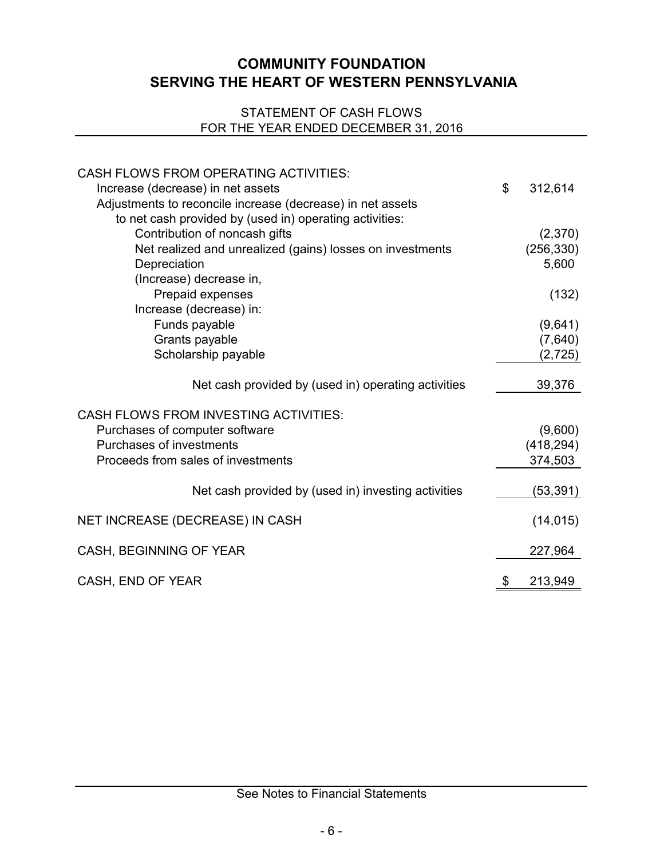## **COMMUNITY FOUNDATION SERVING THE HEART OF WESTERN PENNSYLVANIA**

### STATEMENT OF CASH FLOWS FOR THE YEAR ENDED DECEMBER 31, 2016

| <b>CASH FLOWS FROM OPERATING ACTIVITIES:</b><br>Increase (decrease) in net assets<br>Adjustments to reconcile increase (decrease) in net assets<br>to net cash provided by (used in) operating activities: | \$<br>312,614       |
|------------------------------------------------------------------------------------------------------------------------------------------------------------------------------------------------------------|---------------------|
| Contribution of noncash gifts                                                                                                                                                                              | (2,370)             |
| Net realized and unrealized (gains) losses on investments<br>Depreciation                                                                                                                                  | (256, 330)<br>5,600 |
| (Increase) decrease in,                                                                                                                                                                                    |                     |
| Prepaid expenses                                                                                                                                                                                           | (132)               |
| Increase (decrease) in:                                                                                                                                                                                    |                     |
| Funds payable                                                                                                                                                                                              | (9,641)             |
| Grants payable                                                                                                                                                                                             | (7,640)             |
| Scholarship payable                                                                                                                                                                                        | (2, 725)            |
| Net cash provided by (used in) operating activities                                                                                                                                                        | 39,376              |
| <b>CASH FLOWS FROM INVESTING ACTIVITIES:</b>                                                                                                                                                               |                     |
| Purchases of computer software                                                                                                                                                                             | (9,600)             |
| Purchases of investments                                                                                                                                                                                   | (418, 294)          |
| Proceeds from sales of investments                                                                                                                                                                         | 374,503             |
| Net cash provided by (used in) investing activities                                                                                                                                                        | (53, 391)           |
| NET INCREASE (DECREASE) IN CASH                                                                                                                                                                            | (14, 015)           |
| CASH, BEGINNING OF YEAR                                                                                                                                                                                    | 227,964             |
| CASH, END OF YEAR                                                                                                                                                                                          | \$<br>213,949       |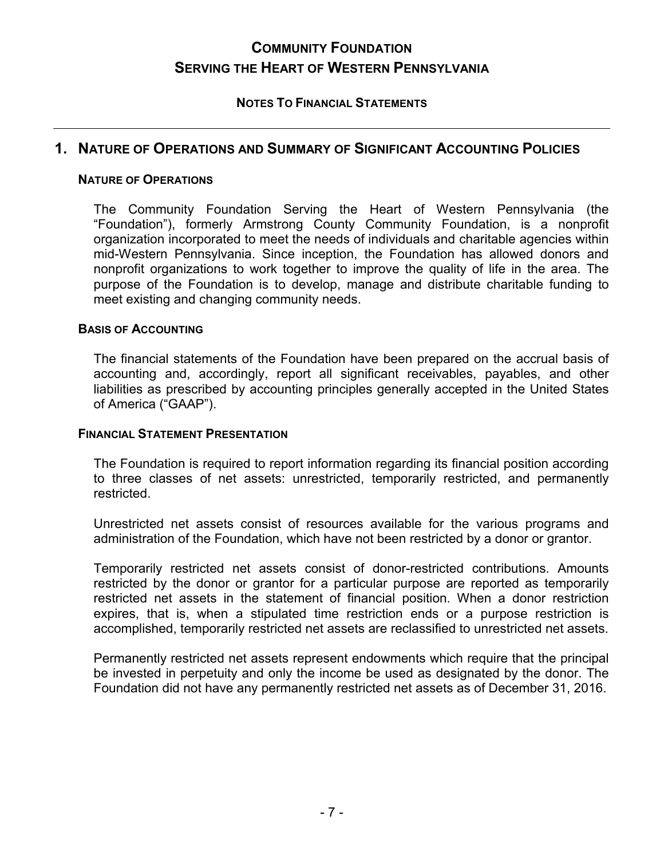# **COMMUNITY FOUNDATION SERVING THE HEART OF WESTERN PENNSYLVANIA**

### **NOTES TO FINANCIAL STATEMENTS**

### **1. NATURE OF OPERATIONS AND SUMMARY OF SIGNIFICANT ACCOUNTING POLICIES**

#### **NATURE OF OPERATIONS**

The Community Foundation Serving the Heart of Western Pennsylvania (the "Foundation"), formerly Armstrong County Community Foundation, is a nonprofit organization incorporated to meet the needs of individuals and charitable agencies within mid-Western Pennsylvania. Since inception, the Foundation has allowed donors and nonprofit organizations to work together to improve the quality of life in the area. The purpose of the Foundation is to develop, manage and distribute charitable funding to meet existing and changing community needs.

#### **BASIS OF ACCOUNTING**

The financial statements of the Foundation have been prepared on the accrual basis of accounting and, accordingly, report all significant receivables, payables, and other liabilities as prescribed by accounting principles generally accepted in the United States of America ("GAAP").

#### **FINANCIAL STATEMENT PRESENTATION**

The Foundation is required to report information regarding its financial position according to three classes of net assets: unrestricted, temporarily restricted, and permanently restricted.

Unrestricted net assets consist of resources available for the various programs and administration of the Foundation, which have not been restricted by a donor or grantor.

Temporarily restricted net assets consist of donor-restricted contributions. Amounts restricted by the donor or grantor for a particular purpose are reported as temporarily restricted net assets in the statement of financial position. When a donor restriction expires, that is, when a stipulated time restriction ends or a purpose restriction is accomplished, temporarily restricted net assets are reclassified to unrestricted net assets.

Permanently restricted net assets represent endowments which require that the principal be invested in perpetuity and only the income be used as designated by the donor. The Foundation did not have any permanently restricted net assets as of December 31, 2016.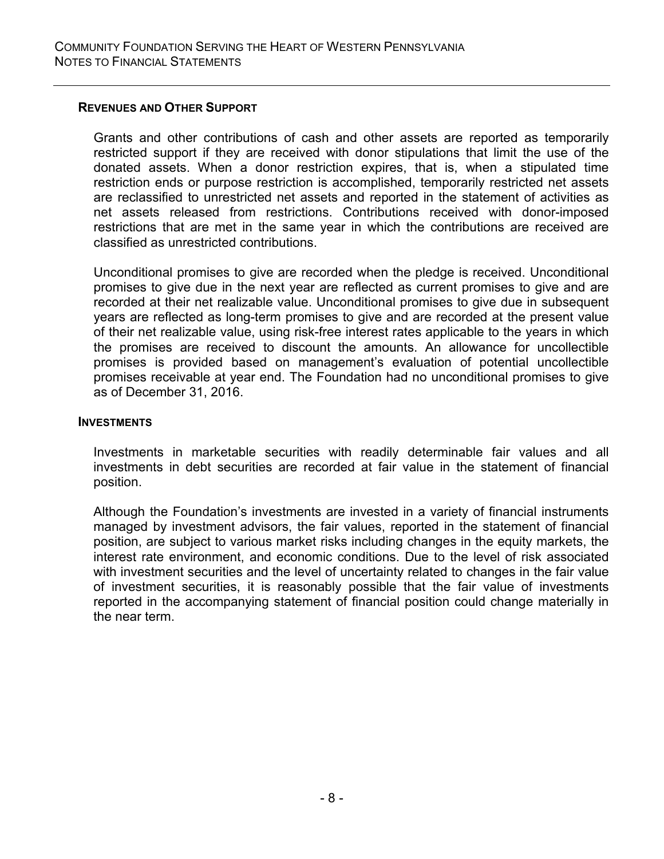#### **REVENUES AND OTHER SUPPORT**

Grants and other contributions of cash and other assets are reported as temporarily restricted support if they are received with donor stipulations that limit the use of the donated assets. When a donor restriction expires, that is, when a stipulated time restriction ends or purpose restriction is accomplished, temporarily restricted net assets are reclassified to unrestricted net assets and reported in the statement of activities as net assets released from restrictions. Contributions received with donor-imposed restrictions that are met in the same year in which the contributions are received are classified as unrestricted contributions.

Unconditional promises to give are recorded when the pledge is received. Unconditional promises to give due in the next year are reflected as current promises to give and are recorded at their net realizable value. Unconditional promises to give due in subsequent years are reflected as long-term promises to give and are recorded at the present value of their net realizable value, using risk-free interest rates applicable to the years in which the promises are received to discount the amounts. An allowance for uncollectible promises is provided based on management's evaluation of potential uncollectible promises receivable at year end. The Foundation had no unconditional promises to give as of December 31, 2016.

#### **INVESTMENTS**

Investments in marketable securities with readily determinable fair values and all investments in debt securities are recorded at fair value in the statement of financial position.

Although the Foundation's investments are invested in a variety of financial instruments managed by investment advisors, the fair values, reported in the statement of financial position, are subject to various market risks including changes in the equity markets, the interest rate environment, and economic conditions. Due to the level of risk associated with investment securities and the level of uncertainty related to changes in the fair value of investment securities, it is reasonably possible that the fair value of investments reported in the accompanying statement of financial position could change materially in the near term.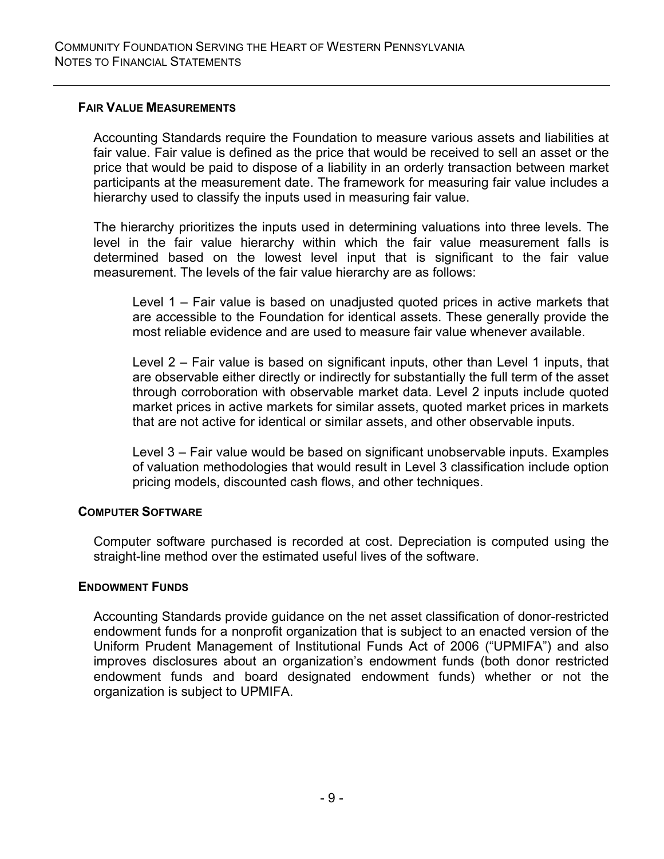### **FAIR VALUE MEASUREMENTS**

Accounting Standards require the Foundation to measure various assets and liabilities at fair value. Fair value is defined as the price that would be received to sell an asset or the price that would be paid to dispose of a liability in an orderly transaction between market participants at the measurement date. The framework for measuring fair value includes a hierarchy used to classify the inputs used in measuring fair value.

The hierarchy prioritizes the inputs used in determining valuations into three levels. The level in the fair value hierarchy within which the fair value measurement falls is determined based on the lowest level input that is significant to the fair value measurement. The levels of the fair value hierarchy are as follows:

Level 1 – Fair value is based on unadjusted quoted prices in active markets that are accessible to the Foundation for identical assets. These generally provide the most reliable evidence and are used to measure fair value whenever available.

Level 2 – Fair value is based on significant inputs, other than Level 1 inputs, that are observable either directly or indirectly for substantially the full term of the asset through corroboration with observable market data. Level 2 inputs include quoted market prices in active markets for similar assets, quoted market prices in markets that are not active for identical or similar assets, and other observable inputs.

Level 3 – Fair value would be based on significant unobservable inputs. Examples of valuation methodologies that would result in Level 3 classification include option pricing models, discounted cash flows, and other techniques.

#### **COMPUTER SOFTWARE**

Computer software purchased is recorded at cost. Depreciation is computed using the straight-line method over the estimated useful lives of the software.

#### **ENDOWMENT FUNDS**

Accounting Standards provide guidance on the net asset classification of donor-restricted endowment funds for a nonprofit organization that is subject to an enacted version of the Uniform Prudent Management of Institutional Funds Act of 2006 ("UPMIFA") and also improves disclosures about an organization's endowment funds (both donor restricted endowment funds and board designated endowment funds) whether or not the organization is subject to UPMIFA.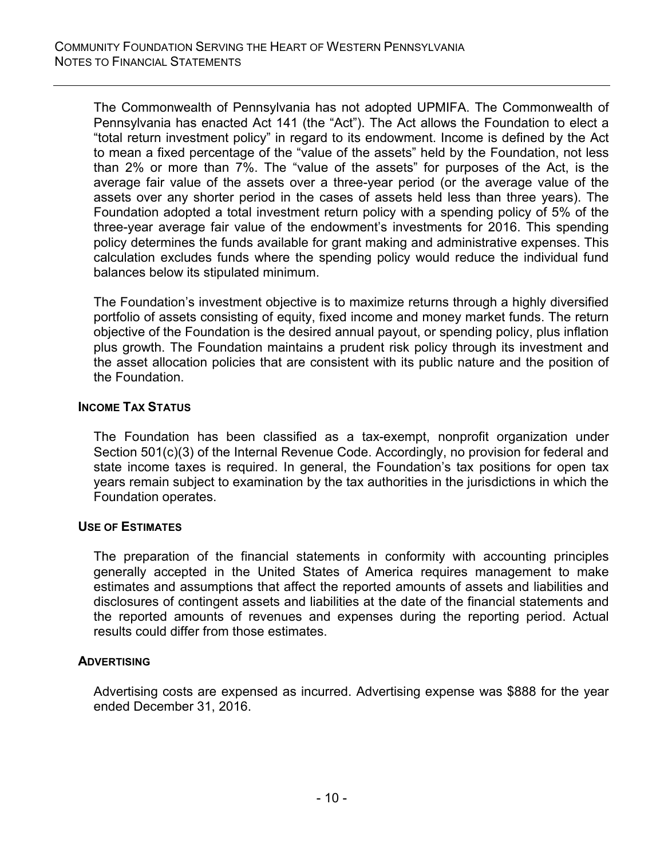The Commonwealth of Pennsylvania has not adopted UPMIFA. The Commonwealth of Pennsylvania has enacted Act 141 (the "Act"). The Act allows the Foundation to elect a "total return investment policy" in regard to its endowment. Income is defined by the Act to mean a fixed percentage of the "value of the assets" held by the Foundation, not less than 2% or more than 7%. The "value of the assets" for purposes of the Act, is the average fair value of the assets over a three-year period (or the average value of the assets over any shorter period in the cases of assets held less than three years). The Foundation adopted a total investment return policy with a spending policy of 5% of the three-year average fair value of the endowment's investments for 2016. This spending policy determines the funds available for grant making and administrative expenses. This calculation excludes funds where the spending policy would reduce the individual fund balances below its stipulated minimum.

The Foundation's investment objective is to maximize returns through a highly diversified portfolio of assets consisting of equity, fixed income and money market funds. The return objective of the Foundation is the desired annual payout, or spending policy, plus inflation plus growth. The Foundation maintains a prudent risk policy through its investment and the asset allocation policies that are consistent with its public nature and the position of the Foundation.

### **INCOME TAX STATUS**

The Foundation has been classified as a tax-exempt, nonprofit organization under Section 501(c)(3) of the Internal Revenue Code. Accordingly, no provision for federal and state income taxes is required. In general, the Foundation's tax positions for open tax years remain subject to examination by the tax authorities in the jurisdictions in which the Foundation operates.

#### **USE OF ESTIMATES**

The preparation of the financial statements in conformity with accounting principles generally accepted in the United States of America requires management to make estimates and assumptions that affect the reported amounts of assets and liabilities and disclosures of contingent assets and liabilities at the date of the financial statements and the reported amounts of revenues and expenses during the reporting period. Actual results could differ from those estimates.

#### **ADVERTISING**

Advertising costs are expensed as incurred. Advertising expense was \$888 for the year ended December 31, 2016.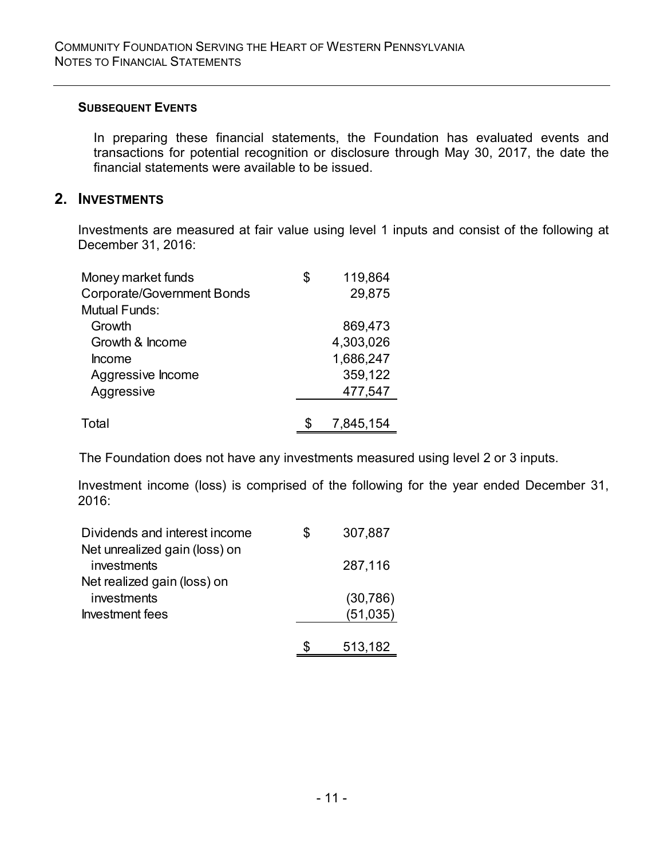### **SUBSEQUENT EVENTS**

In preparing these financial statements, the Foundation has evaluated events and transactions for potential recognition or disclosure through May 30, 2017, the date the financial statements were available to be issued.

## **2. INVESTMENTS**

Investments are measured at fair value using level 1 inputs and consist of the following at December 31, 2016:

| Money market funds                | \$<br>119,864 |
|-----------------------------------|---------------|
| <b>Corporate/Government Bonds</b> | 29,875        |
| Mutual Funds:                     |               |
| Growth                            | 869,473       |
| Growth & Income                   | 4,303,026     |
| <b>Income</b>                     | 1,686,247     |
| Aggressive Income                 | 359,122       |
| Aggressive                        | 477,547       |
|                                   |               |
| Total                             | 7,845,154     |

The Foundation does not have any investments measured using level 2 or 3 inputs.

Investment income (loss) is comprised of the following for the year ended December 31, 2016:

| Dividends and interest income                | \$<br>307,887 |
|----------------------------------------------|---------------|
| Net unrealized gain (loss) on<br>investments | 287,116       |
| Net realized gain (loss) on                  |               |
| investments                                  | (30, 786)     |
| Investment fees                              | (51,035)      |
|                                              |               |
|                                              | 513,182       |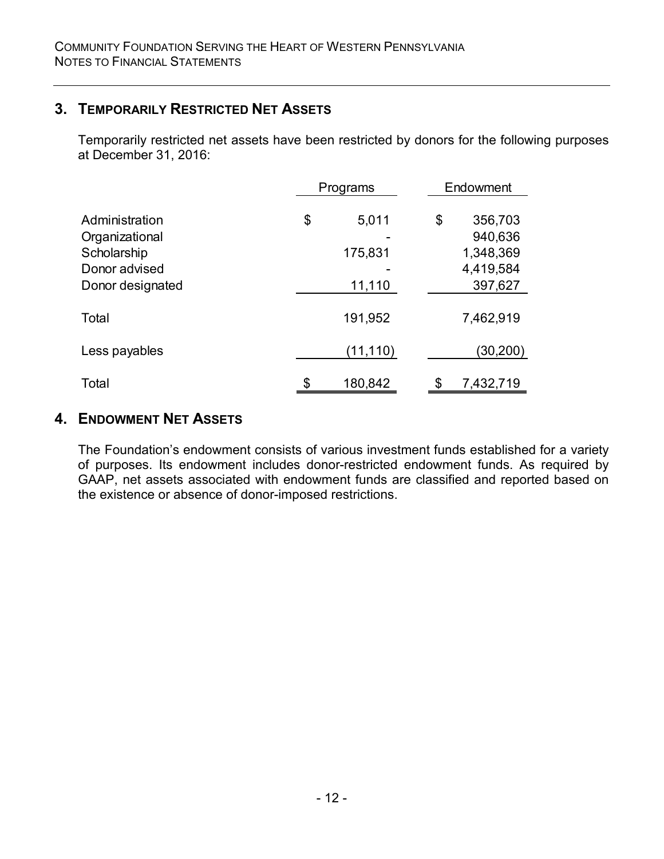## **3. TEMPORARILY RESTRICTED NET ASSETS**

Temporarily restricted net assets have been restricted by donors for the following purposes at December 31, 2016:

|                                                                                      | Programs                         | Endowment                                                     |
|--------------------------------------------------------------------------------------|----------------------------------|---------------------------------------------------------------|
| Administration<br>Organizational<br>Scholarship<br>Donor advised<br>Donor designated | \$<br>5,011<br>175,831<br>11,110 | \$<br>356,703<br>940,636<br>1,348,369<br>4,419,584<br>397,627 |
| Total                                                                                | 191,952                          | 7,462,919                                                     |
| Less payables                                                                        | (11, 110)                        | (30,200)                                                      |
| Total                                                                                | \$<br>180,842                    | \$<br>7,432,719                                               |

### **4. ENDOWMENT NET ASSETS**

The Foundation's endowment consists of various investment funds established for a variety of purposes. Its endowment includes donor-restricted endowment funds. As required by GAAP, net assets associated with endowment funds are classified and reported based on the existence or absence of donor-imposed restrictions.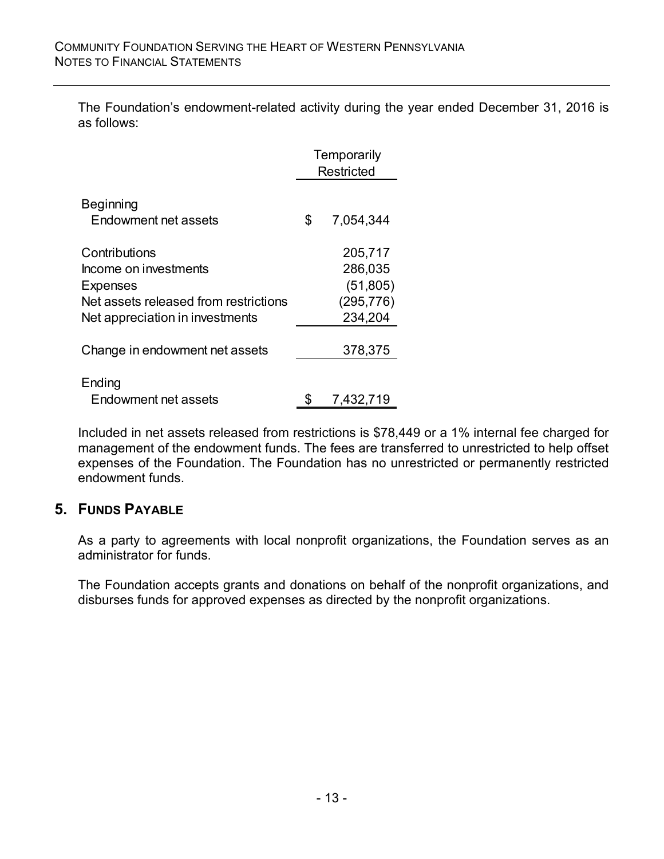The Foundation's endowment-related activity during the year ended December 31, 2016 is as follows:

|                                                                                                                                       | Temporarily<br><b>Restricted</b> |                                                          |  |
|---------------------------------------------------------------------------------------------------------------------------------------|----------------------------------|----------------------------------------------------------|--|
| <b>Beginning</b><br>Endowment net assets                                                                                              | \$                               | 7,054,344                                                |  |
| Contributions<br>Income on investments<br><b>Expenses</b><br>Net assets released from restrictions<br>Net appreciation in investments |                                  | 205,717<br>286,035<br>(51, 805)<br>(295, 776)<br>234,204 |  |
| Change in endowment net assets                                                                                                        |                                  | 378,375                                                  |  |
| Ending<br>Endowment net assets                                                                                                        |                                  | 7,432,719                                                |  |

Included in net assets released from restrictions is \$78,449 or a 1% internal fee charged for management of the endowment funds. The fees are transferred to unrestricted to help offset expenses of the Foundation. The Foundation has no unrestricted or permanently restricted endowment funds.

## **5. FUNDS PAYABLE**

As a party to agreements with local nonprofit organizations, the Foundation serves as an administrator for funds.

The Foundation accepts grants and donations on behalf of the nonprofit organizations, and disburses funds for approved expenses as directed by the nonprofit organizations.